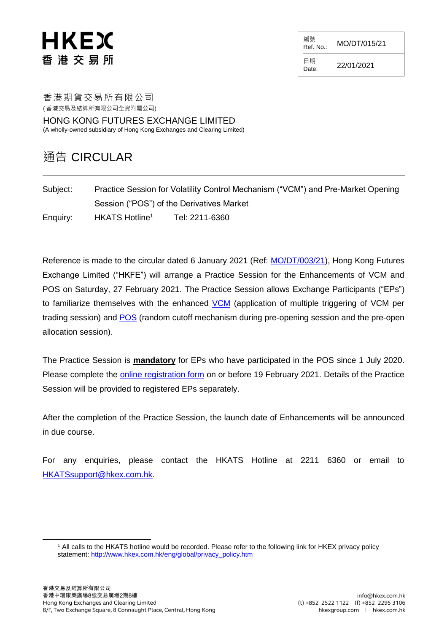## HKEX 香 港 交 易 所

編號  $R$ ef. No.: MO/DT/015/21

日期  $D_{\text{date}:}$  22/01/2021

香港期貨交易所有限公司

( 香港交易及結算所有限公司全資附屬公司)

HONG KONG FUTURES EXCHANGE LIMITED (A wholly-owned subsidiary of Hong Kong Exchanges and Clearing Limited)

## 通告 CIRCULAR

| Subject: | Practice Session for Volatility Control Mechanism ("VCM") and Pre-Market Opening |                |
|----------|----------------------------------------------------------------------------------|----------------|
|          | Session ("POS") of the Derivatives Market                                        |                |
| Enquiry: | HKATS Hotline <sup>1</sup>                                                       | Tel: 2211-6360 |

Reference is made to the circular dated 6 January 2021 (Ref: [MO/DT/003/21\)](https://www.hkex.com.hk/-/media/HKEX-Market/Services/Circulars-and-Notices/Participant-and-Members-Circulars/HKFE/2021/MO_DT_003_21.pdf), Hong Kong Futures Exchange Limited ("HKFE") will arrange a Practice Session for the Enhancements of VCM and POS on Saturday, 27 February 2021. The Practice Session allows Exchange Participants ("EPs") to familiarize themselves with the enhanced [VCM](https://www.hkex.com.hk/Services/Trading/Derivatives/Overview/Trading-Mechanism/Volatility-Control-Mechanism-(VCM)?sc_lang=en) (application of multiple triggering of VCM per trading session) and [POS](https://www.hkex.com.hk/Services/Trading/Derivatives/Overview/Trading-Mechanism/Pre-Market-Opening-Period?sc_lang=en) (random cutoff mechanism during pre-opening session and the pre-open allocation session).

The Practice Session is **mandatory** for EPs who have participated in the POS since 1 July 2020. Please complete the [online registration form](https://events.hkexgroup.com/a326F00000DHT3j) on or before 19 February 2021. Details of the Practice Session will be provided to registered EPs separately.

After the completion of the Practice Session, the launch date of Enhancements will be announced in due course.

For any enquiries, please contact the HKATS Hotline at 2211 6360 or email to [HKATSsupport@hkex.com.hk.](mailto:HKATSsupport@hkex.com.hk)

l

<sup>1</sup> All calls to the HKATS hotline would be recorded. Please refer to the following link for HKEX privacy policy statement: [http://www.hkex.com.hk/eng/global/privacy\\_policy.htm](http://www.hkex.com.hk/eng/global/privacy_policy.htm)